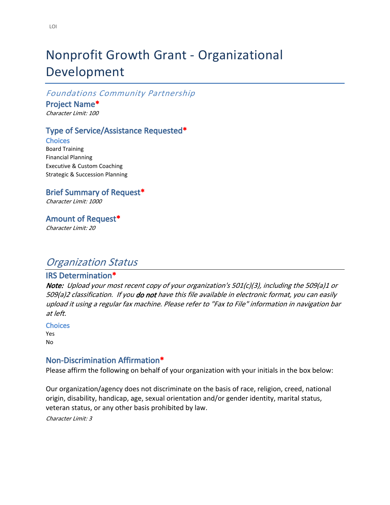# Nonprofit Growth Grant - Organizational Development

*Foundations Community Partnership*

**Project Name\***

*Character Limit: 100*

### **Type of Service/Assistance Requested\***

**Choices** Board Training Financial Planning Executive & Custom Coaching Strategic & Succession Planning

### **Brief Summary of Request\***

*Character Limit: 1000*

### **Amount of Request\***

*Character Limit: 20*

## *Organization Status*

#### **IRS Determination\***

*Note: Upload your most recent copy of your organization's 501(c)(3), including the 509(a)1 or 509(a)2 classification. If you do not have this file available in electronic format, you can easily upload it using a regular fax machine. Please refer to "Fax to File" information in navigation bar at left.*

**Choices** Yes

No

#### **Non-Discrimination Affirmation\***

Please affirm the following on behalf of your organization with your initials in the box below:

Our organization/agency does not discriminate on the basis of race, religion, creed, national origin, disability, handicap, age, sexual orientation and/or gender identity, marital status, veteran status, or any other basis prohibited by law.

*Character Limit: 3*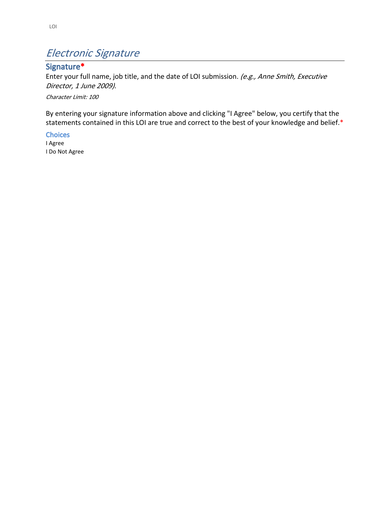## *Electronic Signature*

## **Signature\***

Enter your full name, job title, and the date of LOI submission. *(e.g., Anne Smith, Executive Director, 1 June 2009).*

*Character Limit: 100*

By entering your signature information above and clicking "I Agree" below, you certify that the statements contained in this LOI are true and correct to the best of your knowledge and belief.\*

**Choices** I Agree I Do Not Agree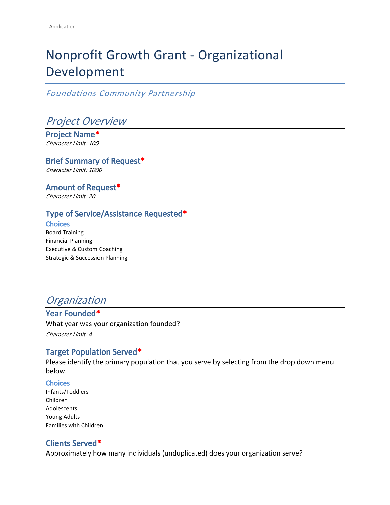# Nonprofit Growth Grant - Organizational Development

*Foundations Community Partnership*

*Project Overview*

**Project Name\*** *Character Limit: 100*

**Brief Summary of Request\*** *Character Limit: 1000*

**Amount of Request\*** *Character Limit: 20*

## **Type of Service/Assistance Requested\***

**Choices**

Board Training Financial Planning Executive & Custom Coaching Strategic & Succession Planning

## *Organization*

**Year Founded\*** What year was your organization founded? *Character Limit: 4*

### **Target Population Served\***

Please identify the primary population that you serve by selecting from the drop down menu below.

#### **Choices**

Infants/Toddlers Children Adolescents Young Adults Families with Children

### **Clients Served\***

Approximately how many individuals (unduplicated) does your organization serve?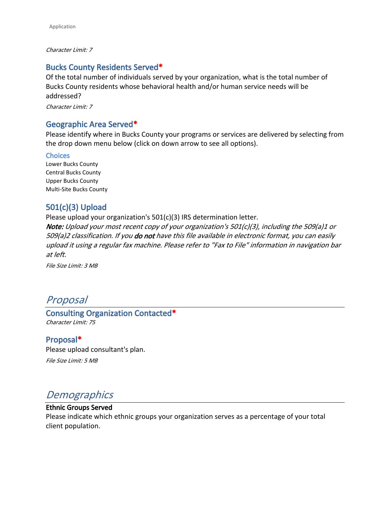#### *Character Limit: 7*

#### **Bucks County Residents Served\***

Of the total number of individuals served by your organization, what is the total number of Bucks County residents whose behavioral health and/or human service needs will be addressed?

*Character Limit: 7*

#### **Geographic Area Served\***

Please identify where in Bucks County your programs or services are delivered by selecting from the drop down menu below (click on down arrow to see all options).

#### **Choices**

Lower Bucks County Central Bucks County Upper Bucks County Multi-Site Bucks County

#### **501(c)(3) Upload**

Please upload your organization's 501(c)(3) IRS determination letter.

*Note: Upload your most recent copy of your organization's 501(c)(3), including the 509(a)1 or 509(a)2 classification. If you do not have this file available in electronic format, you can easily upload it using a regular fax machine. Please refer to "Fax to File" information in navigation bar at left.*

*File Size Limit: 3 MB*

## *Proposal*

**Consulting Organization Contacted\*** *Character Limit: 75*

#### **Proposal\***

Please upload consultant's plan.

*File Size Limit: 5 MB*

## *Demographics*

#### **Ethnic Groups Served**

Please indicate which ethnic groups your organization serves as a percentage of your total client population.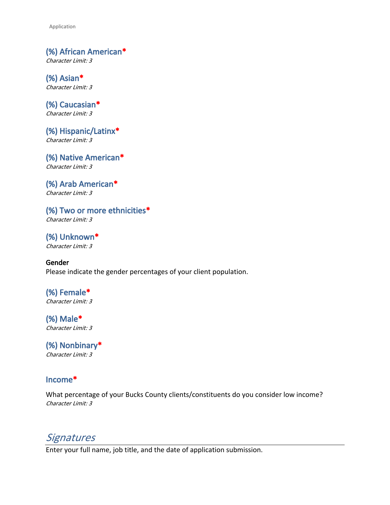Application

**(%) African American\*** *Character Limit: 3*

**(%) Asian\*** *Character Limit: 3*

**(%) Caucasian\*** *Character Limit: 3*

**(%) Hispanic/Latinx\*** *Character Limit: 3*

**(%) Native American\*** *Character Limit: 3*

**(%) Arab American\*** *Character Limit: 3*

**(%) Two or more ethnicities\*** *Character Limit: 3*

**(%) Unknown\*** *Character Limit: 3*

**Gender** Please indicate the gender percentages of your client population.

**(%) Female\*** *Character Limit: 3*

**(%) Male\*** *Character Limit: 3*

**(%) Nonbinary\*** *Character Limit: 3*

## **Income\***

What percentage of your Bucks County clients/constituents do you consider low income? *Character Limit: 3*

*Signatures*

Enter your full name, job title, and the date of application submission.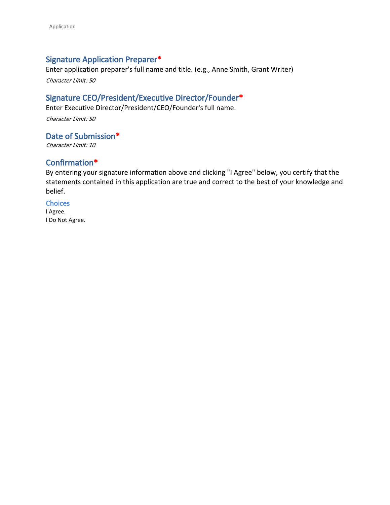#### **Signature Application Preparer\***

Enter application preparer's full name and title. (e.g., Anne Smith, Grant Writer)

*Character Limit: 50*

#### **Signature CEO/President/Executive Director/Founder\***

Enter Executive Director/President/CEO/Founder's full name.

*Character Limit: 50*

**Date of Submission\***

*Character Limit: 10*

### **Confirmation\***

By entering your signature information above and clicking "I Agree" below, you certify that the statements contained in this application are true and correct to the best of your knowledge and belief.

**Choices** I Agree. I Do Not Agree.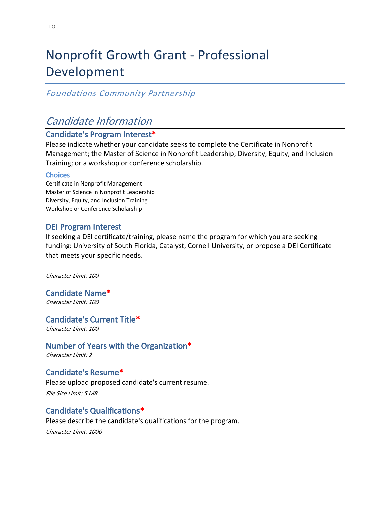# Nonprofit Growth Grant - Professional Development

## *Foundations Community Partnership*

## *Candidate Information*

#### **Candidate's Program Interest\***

Please indicate whether your candidate seeks to complete the [Certificate in Nonprofit](https://www.lasallenonprofitcenter.org/what-we-do/certificate-programs-in-nonprofit-excellence/nonprofit-management/)  [Management;](https://www.lasallenonprofitcenter.org/what-we-do/certificate-programs-in-nonprofit-excellence/nonprofit-management/) the [Master of Science in Nonprofit Leadership;](https://www.lasalle.edu/business/programs/nonprofit-leadership/) Diversity, Equity, and Inclusion Training; or a workshop or conference scholarship.

#### **Choices**

Certificate in Nonprofit Management Master of Science in Nonprofit Leadership Diversity, Equity, and Inclusion Training Workshop or Conference Scholarship

#### **DEI Program Interest**

If seeking a DEI certificate/training, please name the program for which you are seeking funding: [University of South Florida,](https://www.usf.edu/business/certificates/diversity-equity-inclusion/) [Catalyst](https://www.edx.org/professional-certificate/catalystx-inclusive-leadership), [Cornell University](https://ecornell.cornell.edu/certificates/leadership-and-strategic-management/diversity-and-inclusion/#_), or propose a DEI Certificate that meets your specific needs.

*Character Limit: 100*

**Candidate Name\*** *Character Limit: 100*

**Candidate's Current Title\***

*Character Limit: 100*

**Number of Years with the Organization\***

*Character Limit: 2*

**Candidate's Resume\*** Please upload proposed candidate's current resume. *File Size Limit: 5 MB*

#### **Candidate's Qualifications\***

Please describe the candidate's qualifications for the program. *Character Limit: 1000*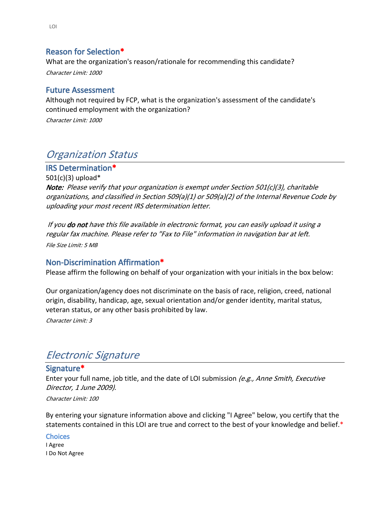#### **Reason for Selection\***

What are the organization's reason/rationale for recommending this candidate? *Character Limit: 1000*

#### **Future Assessment**

Although not required by FCP, what is the organization's assessment of the candidate's continued employment with the organization?

*Character Limit: 1000*

## *Organization Status*

**IRS Determination\***

501(c)(3) upload\* *Note: Please verify that your organization is exempt under Section 501(c)(3), charitable organizations, and classified in Section 509(a)(1) or 509(a)(2) of the Internal Revenue Code by uploading your most recent IRS determination letter.* 

 *If you do not have this file available in electronic format, you can easily upload it using a regular fax machine. Please refer to "Fax to File" information in navigation bar at left. File Size Limit: 5 MB*

#### **Non-Discrimination Affirmation\***

Please affirm the following on behalf of your organization with your initials in the box below:

Our organization/agency does not discriminate on the basis of race, religion, creed, national origin, disability, handicap, age, sexual orientation and/or gender identity, marital status, veteran status, or any other basis prohibited by law.

*Character Limit: 3*

## *Electronic Signature*

#### **Signature\***

Enter your full name, job title, and the date of LOI submission *(e.g., Anne Smith, Executive Director, 1 June 2009).*

*Character Limit: 100*

By entering your signature information above and clicking "I Agree" below, you certify that the statements contained in this LOI are true and correct to the best of your knowledge and belief.\*

#### **Choices**

I Agree I Do Not Agree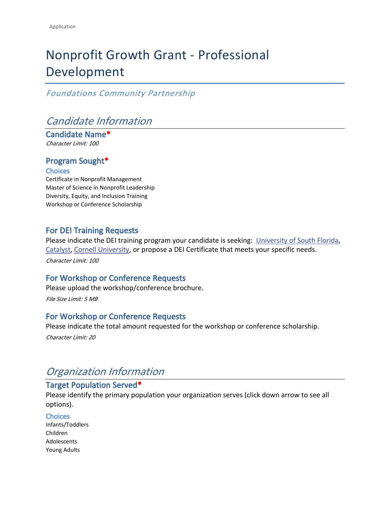# Nonprofit Growth Grant - Professional Development

### *Foundations Community Partnership*

## *Candidate Information*

**Candidate Name\*** *Character Limit: 100*

### **Program Sought\***

#### **Choices**

Certificate in Nonprofit Management Master of Science in Nonprofit Leadership Diversity, Equity, and Inclusion Training Workshop or Conference Scholarship

#### **For DEI Training Requests**

Please indicate the DEI training program your candidate is seeking: [University of South Florida,](https://www.usf.edu/business/certificates/diversity-equity-inclusion/) [Catalyst,](https://www.edx.org/professional-certificate/catalystx-inclusive-leadership) [Cornell University](https://ecornell.cornell.edu/certificates/leadership-and-strategic-management/diversity-and-inclusion/#_), or propose a DEI Certificate that meets your specific needs.

*Character Limit: 100*

#### **For Workshop or Conference Requests**

Please upload the workshop/conference brochure.

*File Size Limit: 5 MB*

#### **For Workshop or Conference Requests**

Please indicate the total amount requested for the workshop or conference scholarship. *Character Limit: 20*

## *Organization Information*

## **Target Population Served\***

Please identify the primary population your organization serves (click down arrow to see all options).

#### **Choices**

Infants/Toddlers Children Adolescents Young Adults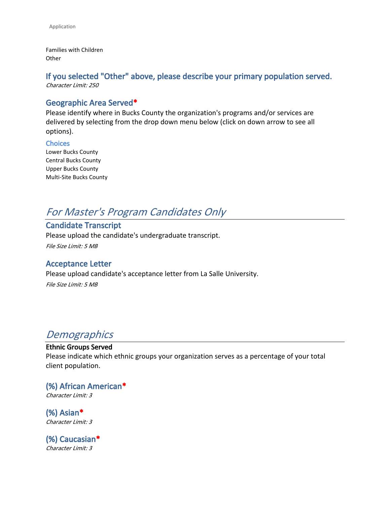Families with Children **Other** 

#### **If you selected "Other" above, please describe your primary population served.** *Character Limit: 250*

#### **Geographic Area Served\***

Please identify where in Bucks County the organization's programs and/or services are delivered by selecting from the drop down menu below (click on down arrow to see all options).

#### **Choices**

Lower Bucks County Central Bucks County Upper Bucks County Multi-Site Bucks County

## *For Master's Program Candidates Only*

**Candidate Transcript** Please upload the candidate's undergraduate transcript. *File Size Limit: 5 MB*

#### **Acceptance Letter**

Please upload candidate's acceptance letter from La Salle University.

*File Size Limit: 5 MB*

## *Demographics*

# **Ethnic Groups Served**

Please indicate which ethnic groups your organization serves as a percentage of your total client population.

**(%) African American\*** *Character Limit: 3*

**(%) Asian\*** *Character Limit: 3*

**(%) Caucasian\*** *Character Limit: 3*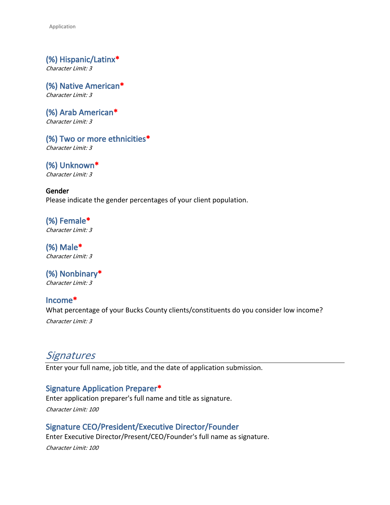Application

**(%) Hispanic/Latinx\*** *Character Limit: 3*

**(%) Native American\*** *Character Limit: 3*

**(%) Arab American\*** *Character Limit: 3*

**(%) Two or more ethnicities\*** *Character Limit: 3*

**(%) Unknown\*** *Character Limit: 3*

**Gender** Please indicate the gender percentages of your client population.

**(%) Female\*** *Character Limit: 3*

**(%) Male\*** *Character Limit: 3*

**(%) Nonbinary\*** *Character Limit: 3*

**Income\*** What percentage of your Bucks County clients/constituents do you consider low income? *Character Limit: 3*

## *Signatures*

Enter your full name, job title, and the date of application submission.

### **Signature Application Preparer\***

Enter application preparer's full name and title as signature.

*Character Limit: 100*

### **Signature CEO/President/Executive Director/Founder**

Enter Executive Director/Present/CEO/Founder's full name as signature. *Character Limit: 100*